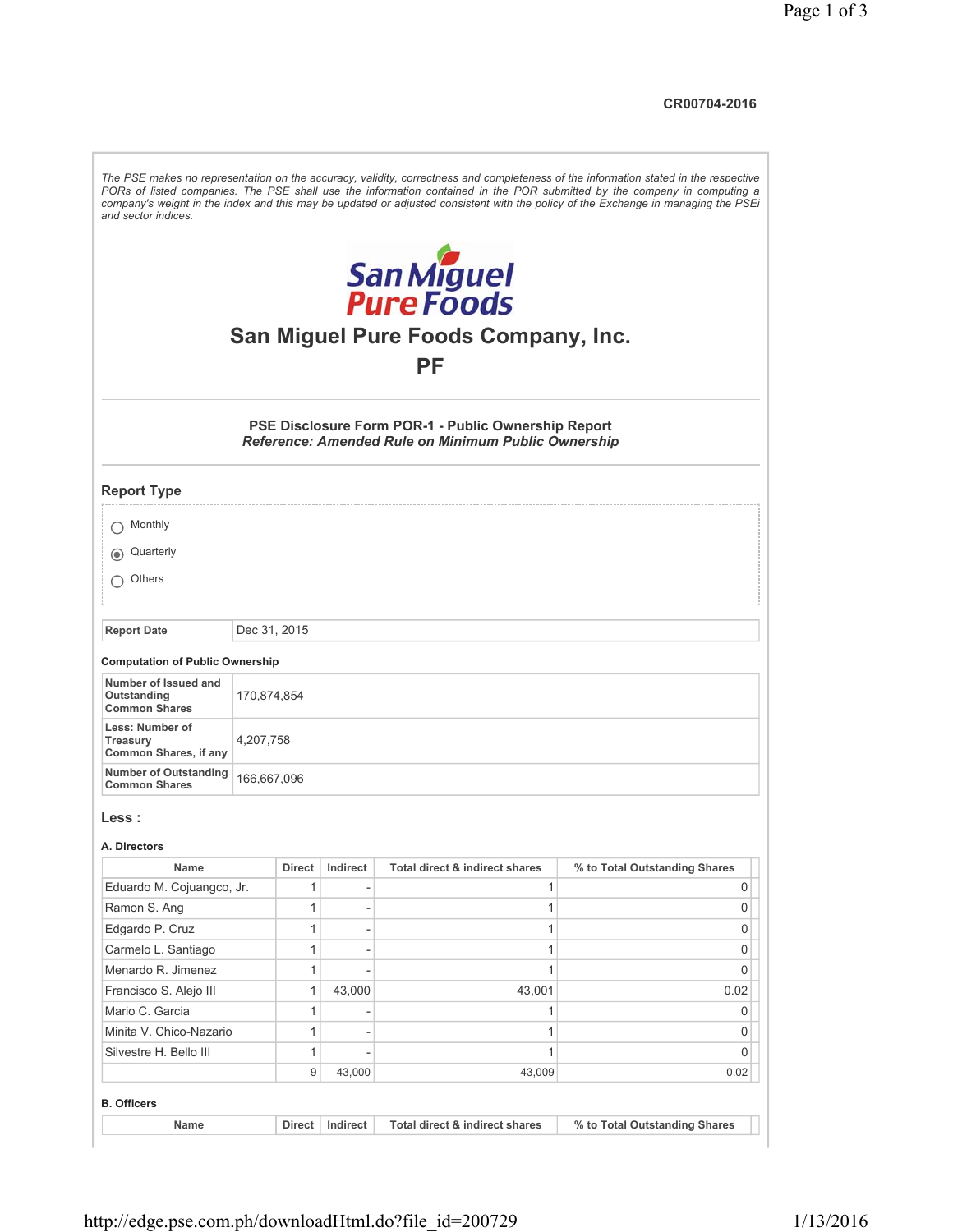**CR00704-2016**

| and sector indices.<br>San Miguel<br>Pure Foods<br>San Miguel Pure Foods Company, Inc.<br>РF<br>PSE Disclosure Form POR-1 - Public Ownership Report<br><b>Reference: Amended Rule on Minimum Public Ownership</b><br><b>Report Type</b><br>Monthly<br>Quarterly<br>Others<br><b>Report Date</b><br>Dec 31, 2015<br><b>Computation of Public Ownership</b><br>Number of Issued and<br>Outstanding<br>170,874,854<br><b>Common Shares</b><br>Less: Number of<br>Treasury<br>4,207,758<br><b>Common Shares, if any</b><br><b>Number of Outstanding</b><br>166,667,096<br><b>Common Shares</b><br>Less :<br>A. Directors<br>Total direct & indirect shares<br>Name<br>Indirect<br>% to Total Outstanding Shares<br>Direct<br>Eduardo M. Cojuangco, Jr.<br>1<br>1<br>0<br>$\mathbf{1}$<br>1<br>0<br>Ramon S. Ang<br>$\overline{\phantom{a}}$<br>1<br>Edgardo P. Cruz<br>1<br>0<br>Carmelo L. Santiago<br>1<br>1<br>0<br>$\overline{\phantom{a}}$<br>Menardo R. Jimenez<br>1<br>1<br>0<br>Francisco S. Alejo III<br>1<br>43,000<br>43,001<br>0.02<br>Mario C. Garcia<br>1<br>1<br>0<br>$\overline{\phantom{a}}$<br>1<br>Minita V. Chico-Nazario<br>1<br>0<br>$\overline{\phantom{a}}$<br>Silvestre H. Bello III<br>1<br>1<br>0<br>9<br>43,000<br>43,009<br>0.02<br><b>B. Officers</b> | Name | Direct | Indirect | Total direct & indirect shares | % to Total Outstanding Shares |
|---------------------------------------------------------------------------------------------------------------------------------------------------------------------------------------------------------------------------------------------------------------------------------------------------------------------------------------------------------------------------------------------------------------------------------------------------------------------------------------------------------------------------------------------------------------------------------------------------------------------------------------------------------------------------------------------------------------------------------------------------------------------------------------------------------------------------------------------------------------------------------------------------------------------------------------------------------------------------------------------------------------------------------------------------------------------------------------------------------------------------------------------------------------------------------------------------------------------------------------------------------------------------------|------|--------|----------|--------------------------------|-------------------------------|
|                                                                                                                                                                                                                                                                                                                                                                                                                                                                                                                                                                                                                                                                                                                                                                                                                                                                                                                                                                                                                                                                                                                                                                                                                                                                                 |      |        |          |                                |                               |
|                                                                                                                                                                                                                                                                                                                                                                                                                                                                                                                                                                                                                                                                                                                                                                                                                                                                                                                                                                                                                                                                                                                                                                                                                                                                                 |      |        |          |                                |                               |
|                                                                                                                                                                                                                                                                                                                                                                                                                                                                                                                                                                                                                                                                                                                                                                                                                                                                                                                                                                                                                                                                                                                                                                                                                                                                                 |      |        |          |                                |                               |
|                                                                                                                                                                                                                                                                                                                                                                                                                                                                                                                                                                                                                                                                                                                                                                                                                                                                                                                                                                                                                                                                                                                                                                                                                                                                                 |      |        |          |                                |                               |
|                                                                                                                                                                                                                                                                                                                                                                                                                                                                                                                                                                                                                                                                                                                                                                                                                                                                                                                                                                                                                                                                                                                                                                                                                                                                                 |      |        |          |                                |                               |
|                                                                                                                                                                                                                                                                                                                                                                                                                                                                                                                                                                                                                                                                                                                                                                                                                                                                                                                                                                                                                                                                                                                                                                                                                                                                                 |      |        |          |                                |                               |
|                                                                                                                                                                                                                                                                                                                                                                                                                                                                                                                                                                                                                                                                                                                                                                                                                                                                                                                                                                                                                                                                                                                                                                                                                                                                                 |      |        |          |                                |                               |
|                                                                                                                                                                                                                                                                                                                                                                                                                                                                                                                                                                                                                                                                                                                                                                                                                                                                                                                                                                                                                                                                                                                                                                                                                                                                                 |      |        |          |                                |                               |
|                                                                                                                                                                                                                                                                                                                                                                                                                                                                                                                                                                                                                                                                                                                                                                                                                                                                                                                                                                                                                                                                                                                                                                                                                                                                                 |      |        |          |                                |                               |
|                                                                                                                                                                                                                                                                                                                                                                                                                                                                                                                                                                                                                                                                                                                                                                                                                                                                                                                                                                                                                                                                                                                                                                                                                                                                                 |      |        |          |                                |                               |
|                                                                                                                                                                                                                                                                                                                                                                                                                                                                                                                                                                                                                                                                                                                                                                                                                                                                                                                                                                                                                                                                                                                                                                                                                                                                                 |      |        |          |                                |                               |
|                                                                                                                                                                                                                                                                                                                                                                                                                                                                                                                                                                                                                                                                                                                                                                                                                                                                                                                                                                                                                                                                                                                                                                                                                                                                                 |      |        |          |                                |                               |
|                                                                                                                                                                                                                                                                                                                                                                                                                                                                                                                                                                                                                                                                                                                                                                                                                                                                                                                                                                                                                                                                                                                                                                                                                                                                                 |      |        |          |                                |                               |
|                                                                                                                                                                                                                                                                                                                                                                                                                                                                                                                                                                                                                                                                                                                                                                                                                                                                                                                                                                                                                                                                                                                                                                                                                                                                                 |      |        |          |                                |                               |
|                                                                                                                                                                                                                                                                                                                                                                                                                                                                                                                                                                                                                                                                                                                                                                                                                                                                                                                                                                                                                                                                                                                                                                                                                                                                                 |      |        |          |                                |                               |
|                                                                                                                                                                                                                                                                                                                                                                                                                                                                                                                                                                                                                                                                                                                                                                                                                                                                                                                                                                                                                                                                                                                                                                                                                                                                                 |      |        |          |                                |                               |
|                                                                                                                                                                                                                                                                                                                                                                                                                                                                                                                                                                                                                                                                                                                                                                                                                                                                                                                                                                                                                                                                                                                                                                                                                                                                                 |      |        |          |                                |                               |
|                                                                                                                                                                                                                                                                                                                                                                                                                                                                                                                                                                                                                                                                                                                                                                                                                                                                                                                                                                                                                                                                                                                                                                                                                                                                                 |      |        |          |                                |                               |
|                                                                                                                                                                                                                                                                                                                                                                                                                                                                                                                                                                                                                                                                                                                                                                                                                                                                                                                                                                                                                                                                                                                                                                                                                                                                                 |      |        |          |                                |                               |
|                                                                                                                                                                                                                                                                                                                                                                                                                                                                                                                                                                                                                                                                                                                                                                                                                                                                                                                                                                                                                                                                                                                                                                                                                                                                                 |      |        |          |                                |                               |
|                                                                                                                                                                                                                                                                                                                                                                                                                                                                                                                                                                                                                                                                                                                                                                                                                                                                                                                                                                                                                                                                                                                                                                                                                                                                                 |      |        |          |                                |                               |
|                                                                                                                                                                                                                                                                                                                                                                                                                                                                                                                                                                                                                                                                                                                                                                                                                                                                                                                                                                                                                                                                                                                                                                                                                                                                                 |      |        |          |                                |                               |
|                                                                                                                                                                                                                                                                                                                                                                                                                                                                                                                                                                                                                                                                                                                                                                                                                                                                                                                                                                                                                                                                                                                                                                                                                                                                                 |      |        |          |                                |                               |
|                                                                                                                                                                                                                                                                                                                                                                                                                                                                                                                                                                                                                                                                                                                                                                                                                                                                                                                                                                                                                                                                                                                                                                                                                                                                                 |      |        |          |                                |                               |
|                                                                                                                                                                                                                                                                                                                                                                                                                                                                                                                                                                                                                                                                                                                                                                                                                                                                                                                                                                                                                                                                                                                                                                                                                                                                                 |      |        |          |                                |                               |
|                                                                                                                                                                                                                                                                                                                                                                                                                                                                                                                                                                                                                                                                                                                                                                                                                                                                                                                                                                                                                                                                                                                                                                                                                                                                                 |      |        |          |                                |                               |
| The PSE makes no representation on the accuracy, validity, correctness and completeness of the information stated in the respective<br>PORs of listed companies. The PSE shall use the information contained in the POR submitted by the company in computing a<br>company's weight in the index and this may be updated or adjusted consistent with the policy of the Exchange in managing the PSEi                                                                                                                                                                                                                                                                                                                                                                                                                                                                                                                                                                                                                                                                                                                                                                                                                                                                            |      |        |          |                                |                               |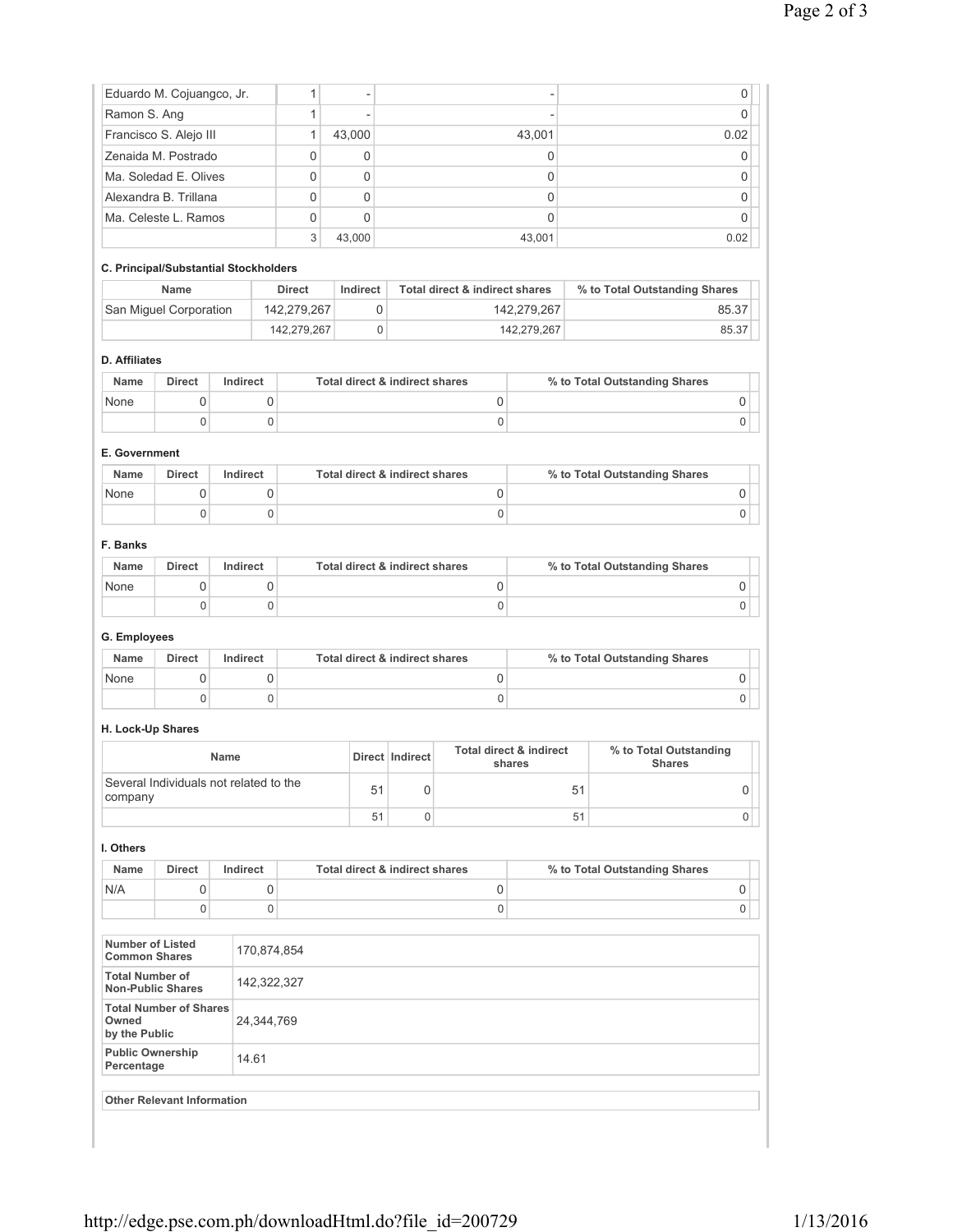| Eduardo M. Cojuangco, Jr. |   | $\overline{a}$ |        |      |
|---------------------------|---|----------------|--------|------|
| Ramon S. Ang              |   | $\overline{a}$ |        |      |
| Francisco S. Alejo III    |   | 43,000         | 43,001 | 0.02 |
| Zenaida M. Postrado       | 0 |                |        |      |
| Ma. Soledad E. Olives     | 0 | 0              |        |      |
| Alexandra B. Trillana     | 0 | 0              |        |      |
| Ma. Celeste L. Ramos      | 0 |                |        |      |
|                           | 3 | 43.000         | 43,001 | 0.02 |

# **C. Principal/Substantial Stockholders**

| <b>Name</b>            | <b>Direct</b> | Indirect | Total direct & indirect shares | % to Total Outstanding Shares |
|------------------------|---------------|----------|--------------------------------|-------------------------------|
| San Miquel Corporation | 142.279.267   |          | 142.279.267                    | 85.37                         |
|                        | 142.279.267   |          | 142.279.267                    | 85.37                         |

# **D. Affiliates**

| Name | <b>Direct</b> | Indirect | Total direct & indirect shares | % to Total Outstanding Shares |
|------|---------------|----------|--------------------------------|-------------------------------|
| None |               |          |                                |                               |
|      |               |          |                                |                               |

# **E. Government**

| Name | <b>Direct</b> | Indirect | Total direct & indirect shares | % to Total Outstanding Shares |
|------|---------------|----------|--------------------------------|-------------------------------|
| None |               |          |                                |                               |
|      |               |          |                                |                               |

#### **F. Banks**

| Name | <b>Direct</b> | Indirect | Total direct & indirect shares | % to Total Outstanding Shares |
|------|---------------|----------|--------------------------------|-------------------------------|
| None |               |          |                                |                               |
|      |               |          |                                |                               |

# **G. Employees**

| <b>Name</b> | Direct | Indirect | Total direct & indirect shares | % to Total Outstanding Shares |
|-------------|--------|----------|--------------------------------|-------------------------------|
| None        |        |          |                                |                               |
|             |        |          |                                |                               |

# **H. Lock-Up Shares**

| <b>Name</b>                                       |    | Direct   Indirect | <b>Total direct &amp; indirect</b><br>shares | % to Total Outstanding<br><b>Shares</b> |
|---------------------------------------------------|----|-------------------|----------------------------------------------|-----------------------------------------|
| Several Individuals not related to the<br>company |    |                   | 51                                           |                                         |
|                                                   | 51 |                   | 51                                           |                                         |

#### **I. Others**

| <b>Name</b> | <b>Direct</b> | Indirect | Total direct & indirect shares | % to Total Outstanding Shares |  |
|-------------|---------------|----------|--------------------------------|-------------------------------|--|
| N/A         |               |          |                                |                               |  |
|             |               |          |                                |                               |  |

| Number of Listed<br><b>Common Shares</b>                | 170,874,854 |
|---------------------------------------------------------|-------------|
| <b>Total Number of</b><br>Non-Public Shares             | 142,322,327 |
| <b>Total Number of Shares</b><br>Owned<br>by the Public | 24,344,769  |
| <b>Public Ownership</b><br>Percentage                   | 14.61       |
| <b>Other Relevant Information</b>                       |             |